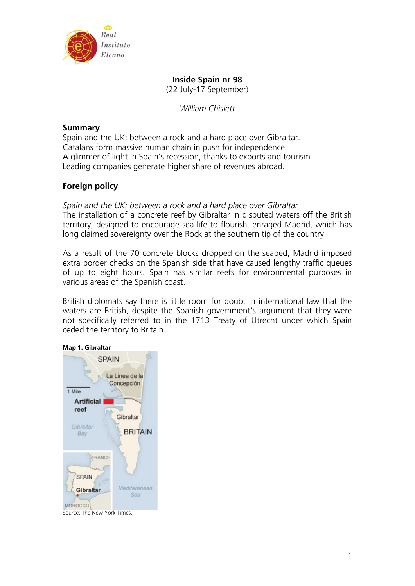

# **Inside Spain nr 98**

(22 July-17 September)

*William Chislett* 

## **Summary**

Spain and the UK: between a rock and a hard place over Gibraltar. Catalans form massive human chain in push for independence. A glimmer of light in Spain's recession, thanks to exports and tourism. Leading companies generate higher share of revenues abroad.

## **Foreign policy**

*Spain and the UK: between a rock and a hard place over Gibraltar*  The installation of a concrete reef by Gibraltar in disputed waters off the British territory, designed to encourage sea-life to flourish, enraged Madrid, which has long claimed sovereignty over the Rock at the southern tip of the country.

As a result of the 70 concrete blocks dropped on the seabed, Madrid imposed extra border checks on the Spanish side that have caused lengthy traffic queues of up to eight hours. Spain has similar reefs for environmental purposes in various areas of the Spanish coast.

British diplomats say there is little room for doubt in international law that the waters are British, despite the Spanish government's argument that they were not specifically referred to in the 1713 Treaty of Utrecht under which Spain ceded the territory to Britain.



Source: The New York Times.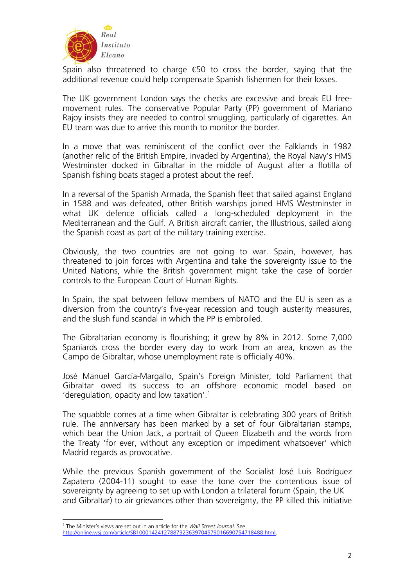

Spain also threatened to charge  $\bigoplus$  to cross the border, saying that the additional revenue could help compensate Spanish fishermen for their losses.

The UK government London says the checks are excessive and break EU freemovement rules. The conservative Popular Party (PP) government of Mariano Rajoy insists they are needed to control smuggling, particularly of cigarettes. An EU team was due to arrive this month to monitor the border.

In a move that was reminiscent of the conflict over the Falklands in 1982 (another relic of the British Empire, invaded by Argentina), the Royal Navy's HMS Westminster docked in Gibraltar in the middle of August after a flotilla of Spanish fishing boats staged a protest about the reef.

In a reversal of the Spanish Armada, the Spanish fleet that sailed against England in 1588 and was defeated, other British warships joined HMS Westminster in what UK defence officials called a long-scheduled deployment in the Mediterranean and the Gulf. A British aircraft carrier, the Illustrious, sailed along the Spanish coast as part of the military training exercise.

Obviously, the two countries are not going to war. Spain, however, has threatened to join forces with Argentina and take the sovereignty issue to the United Nations, while the British government might take the case of border controls to the European Court of Human Rights.

In Spain, the spat between fellow members of NATO and the EU is seen as a diversion from the country's five-year recession and tough austerity measures, and the slush fund scandal in which the PP is embroiled.

The Gibraltarian economy is flourishing; it grew by 8% in 2012. Some 7,000 Spaniards cross the border every day to work from an area, known as the Campo de Gibraltar, whose unemployment rate is officially 40%.

José Manuel García-Margallo, Spain's Foreign Minister, told Parliament that Gibraltar owed its success to an offshore economic model based on 'deregulation, opacity and low taxation'. $1$ 

The squabble comes at a time when Gibraltar is celebrating 300 years of British rule. The anniversary has been marked by a set of four Gibraltarian stamps, which bear the Union Jack, a portrait of Queen Elizabeth and the words from the Treaty 'for ever, without any exception or impediment whatsoever' which Madrid regards as provocative.

While the previous Spanish government of the Socialist José Luis Rodríguez Zapatero (2004-11) sought to ease the tone over the contentious issue of sovereignty by agreeing to set up with London a trilateral forum (Spain, the UK and Gibraltar) to air grievances other than sovereignty, the PP killed this initiative

<sup>1</sup> 1 The Minister's views are set out in an article for the *Wall Street Journal*. See

<span id="page-1-0"></span><http://online.wsj.com/article/SB10001424127887323639704579016690754718488.html>.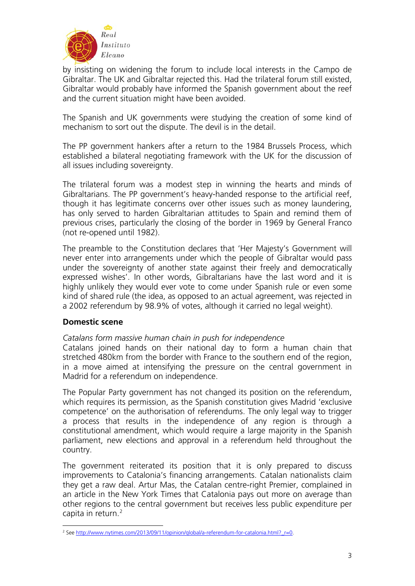

by insisting on widening the forum to include local interests in the Campo de Gibraltar. The UK and Gibraltar rejected this. Had the trilateral forum still existed, Gibraltar would probably have informed the Spanish government about the reef and the current situation might have been avoided.

The Spanish and UK governments were studying the creation of some kind of mechanism to sort out the dispute. The devil is in the detail.

The PP government hankers after a return to the 1984 Brussels Process, which established a bilateral negotiating framework with the UK for the discussion of all issues including sovereignty.

The trilateral forum was a modest step in winning the hearts and minds of Gibraltarians. The PP government's heavy-handed response to the artificial reef, though it has legitimate concerns over other issues such as money laundering, has only served to harden Gibraltarian attitudes to Spain and remind them of previous crises, particularly the closing of the border in 1969 by General Franco (not re-opened until 1982).

The preamble to the Constitution declares that 'Her Majesty's Government will never enter into arrangements under which the people of Gibraltar would pass under the sovereignty of another state against their freely and democratically expressed wishes'. In other words, Gibraltarians have the last word and it is highly unlikely they would ever vote to come under Spanish rule or even some kind of shared rule (the idea, as opposed to an actual agreement, was rejected in a 2002 referendum by 98.9% of votes, although it carried no legal weight).

## **Domestic scene**

## *Catalans form massive human chain in push for independence*

Catalans joined hands on their national day to form a human chain that stretched 480km from the border with France to the southern end of the region, in a move aimed at intensifying the pressure on the central government in Madrid for a referendum on independence.

The Popular Party government has not changed its position on the referendum, which requires its permission, as the Spanish constitution gives Madrid 'exclusive competence' on the authorisation of referendums. The only legal way to trigger a process that results in the independence of any region is through a constitutional amendment, which would require a large majority in the Spanish parliament, new elections and approval in a referendum held throughout the country.

The government reiterated its position that it is only prepared to discuss improvements to Catalonia's financing arrangements. Catalan nationalists claim they get a raw deal. Artur Mas, the Catalan centre-right Premier, complained in an article in the New York Times that Catalonia pays out more on average than other regions to the central government but receives less public expenditure per capita in return.<sup>[2](#page-2-0)</sup>

<span id="page-2-0"></span><sup>1</sup> <sup>2</sup> See [http://www.nytimes.com/2013/09/11/opinion/global/a-referendum-for-catalonia.html?\\_r=0.](http://www.nytimes.com/2013/09/11/opinion/global/a-referendum-for-catalonia.html?_r=0)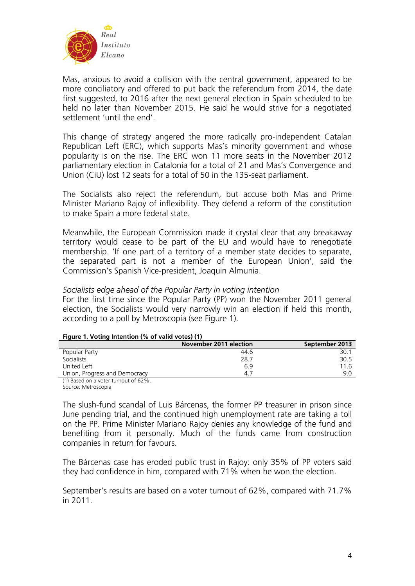

Mas, anxious to avoid a collision with the central government, appeared to be more conciliatory and offered to put back the referendum from 2014, the date first suggested, to 2016 after the next general election in Spain scheduled to be held no later than November 2015. He said he would strive for a negotiated settlement 'until the end'.

This change of strategy angered the more radically pro-independent Catalan Republican Left (ERC), which supports Mas's minority government and whose popularity is on the rise. The ERC won 11 more seats in the November 2012 parliamentary election in Catalonia for a total of 21 and Mas's Convergence and Union (CiU) lost 12 seats for a total of 50 in the 135-seat parliament.

The Socialists also reject the referendum, but accuse both Mas and Prime Minister Mariano Rajoy of inflexibility. They defend a reform of the constitution to make Spain a more federal state.

Meanwhile, the European Commission made it crystal clear that any breakaway territory would cease to be part of the EU and would have to renegotiate membership. 'If one part of a territory of a member state decides to separate, the separated part is not a member of the European Union', said the Commission's Spanish Vice-president, Joaquin Almunia.

## *Socialists edge ahead of the Popular Party in voting intention*

For the first time since the Popular Party (PP) won the November 2011 general election, the Socialists would very narrowly win an election if held this month, according to a poll by Metroscopia (see Figure 1).

|                                                                                                                                                                                                                                                                                                                                                           | November 2011 election | September 2013 |  |  |  |  |  |  |
|-----------------------------------------------------------------------------------------------------------------------------------------------------------------------------------------------------------------------------------------------------------------------------------------------------------------------------------------------------------|------------------------|----------------|--|--|--|--|--|--|
| Popular Party                                                                                                                                                                                                                                                                                                                                             | 44.6                   | 30.            |  |  |  |  |  |  |
| Socialists                                                                                                                                                                                                                                                                                                                                                | 28.7                   | 30.5           |  |  |  |  |  |  |
| United Left                                                                                                                                                                                                                                                                                                                                               | 6.9                    | 116            |  |  |  |  |  |  |
| Union, Progress and Democracy                                                                                                                                                                                                                                                                                                                             |                        | 9 Q            |  |  |  |  |  |  |
| $\lambda$ and $\lambda$ and $\lambda$ and $\lambda$ and $\lambda$ and $\lambda$ and $\lambda$ and $\lambda$ and $\lambda$ and $\lambda$ and $\lambda$ and $\lambda$ and $\lambda$ and $\lambda$ and $\lambda$ and $\lambda$ and $\lambda$ and $\lambda$ and $\lambda$ and $\lambda$ and $\lambda$ and $\lambda$ and $\lambda$ and $\lambda$ and $\lambda$ |                        |                |  |  |  |  |  |  |

#### **Figure 1. Voting Intention (% of valid votes) (1)**

(1) Based on a voter turnout of 62%.

Source: Metroscopia.

The slush-fund scandal of Luis Bárcenas, the former PP treasurer in prison since June pending trial, and the continued high unemployment rate are taking a toll on the PP. Prime Minister Mariano Rajoy denies any knowledge of the fund and benefiting from it personally. Much of the funds came from construction companies in return for favours.

The Bárcenas case has eroded public trust in Rajoy: only 35% of PP voters said they had confidence in him, compared with 71% when he won the election.

September's results are based on a voter turnout of 62%, compared with 71.7% in 2011.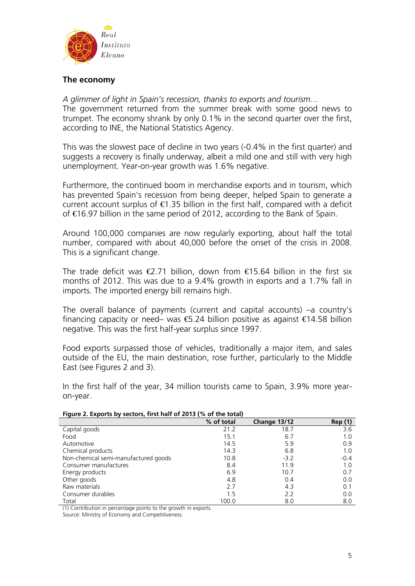

## **The economy**

*A glimmer of light in Spain's recession, thanks to exports and tourism…*

The government returned from the summer break with some good news to trumpet. The economy shrank by only 0.1% in the second quarter over the first, according to INE, the National Statistics Agency.

This was the slowest pace of decline in two years (-0.4% in the first quarter) and suggests a recovery is finally underway, albeit a mild one and still with very high unemployment. Year-on-year growth was 1.6% negative.

Furthermore, the continued boom in merchandise exports and in tourism, which has prevented Spain's recession from being deeper, helped Spain to generate a current account surplus of  $\epsilon$ 1.35 billion in the first half, compared with a deficit of €16.97 billion in the same period of 2012, according to the Bank of Spain.

Around 100,000 companies are now regularly exporting, about half the total number, compared with about 40,000 before the onset of the crisis in 2008. This is a significant change.

The trade deficit was  $\bigoplus$ .71 billion, down from  $\bigoplus$  5.64 billion in the first six months of 2012. This was due to a 9.4% growth in exports and a 1.7% fall in imports. The imported energy bill remains high.

The overall balance of payments (current and capital accounts) –a country's financing capacity or need– was  $6.24$  billion positive as against  $64.58$  billion negative. This was the first half-year surplus since 1997.

Food exports surpassed those of vehicles, traditionally a major item, and sales outside of the EU, the main destination, rose further, particularly to the Middle East (see Figures 2 and 3).

In the first half of the year, 34 million tourists came to Spain, 3.9% more yearon-year.

| riqure 2. Exports by sectors, first hair of 2013 (% of the total) |            |                     |                |  |  |  |  |  |
|-------------------------------------------------------------------|------------|---------------------|----------------|--|--|--|--|--|
|                                                                   | % of total | <b>Change 13/12</b> | <b>Rep</b> (1) |  |  |  |  |  |
| Capital goods                                                     | 21.2       | 18.7                | 3.6            |  |  |  |  |  |
| Food                                                              | 15.1       | 6.7                 | 1.0            |  |  |  |  |  |
| Automotive                                                        | 14.5       | 5.9                 | 0.9            |  |  |  |  |  |
| Chemical products                                                 | 14.3       | 6.8                 | 1.0            |  |  |  |  |  |
| Non-chemical semi-manufactured goods                              | 10.8       | $-3.2$              | $-0.4$         |  |  |  |  |  |
| Consumer manufactures                                             | 8.4        | 11.9                | 1.0            |  |  |  |  |  |
| Energy products                                                   | 6.9        | 10.7                | 0.7            |  |  |  |  |  |
| Other goods                                                       | 4.8        | 0.4                 | 0.0            |  |  |  |  |  |
| Raw materials                                                     | 2.7        | 4.3                 | 0.1            |  |  |  |  |  |
| Consumer durables                                                 | 1.5        | 2.2                 | 0.0            |  |  |  |  |  |
| Total                                                             | 100.0      | 8.0                 | 8.0            |  |  |  |  |  |

### **Figure 2. Exports by sectors, first half of 2013 (% of the total)**

(1) Contribution in percentage points to the growth in exports.

Source: Ministry of Economy and Competitiveness.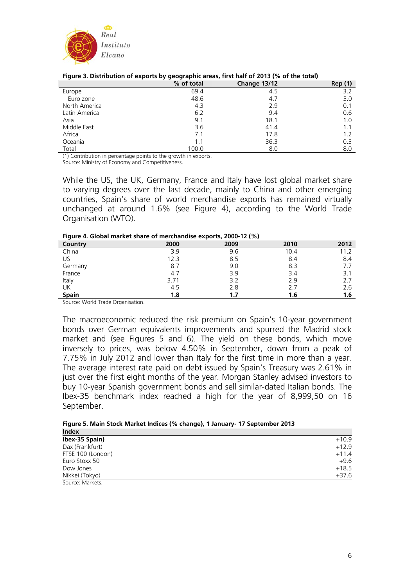

| $1.99$ at a $2.12$ to at the action to the step of as $\approx$ y |            | 9009                |                |
|-------------------------------------------------------------------|------------|---------------------|----------------|
|                                                                   | % of total | <b>Change 13/12</b> | <b>Rep</b> (1) |
| Europe                                                            | 69.4       | 4.5                 | 3.2            |
| Euro zone                                                         | 48.6       | 4.7                 | 3.0            |
| North America                                                     | 4.3        | 2.9                 | 0.1            |
| Latin America                                                     | 6.2        | 9.4                 | 0.6            |
| Asia                                                              | 9.1        | 18.1                | 1.0            |
| Middle East                                                       | 3.6        | 41.4                | 1.1            |
| Africa                                                            | 7.1        | 17.8                | 1.2            |
| Oceania                                                           | 1.1        | 36.3                | 0.3            |
| Total                                                             | 100.0      | 8.0                 | 8.0            |

#### **Figure 3. Distribution of exports by geographic areas, first half of 2013 (% of the total)**

(1) Contribution in percentage points to the growth in exports.

Source: Ministry of Economy and Competitiveness.

While the US, the UK, Germany, France and Italy have lost global market share to varying degrees over the last decade, mainly to China and other emerging countries, Spain's share of world merchandise exports has remained virtually unchanged at around 1.6% (see Figure 4), according to the World Trade Organisation (WTO).

#### **Figure 4. Global market share of merchandise exports, 2000-12 (%)**

| <b>Tigare 4. Giobarmanecesitare or incrematable capores, 2000 TE (70)</b> |      |      |      |      |  |  |  |  |
|---------------------------------------------------------------------------|------|------|------|------|--|--|--|--|
| Country                                                                   | 2000 | 2009 | 2010 | 2012 |  |  |  |  |
| China                                                                     | 3.9  | 9.6  | 10.4 | 11.2 |  |  |  |  |
| US.                                                                       | 12.3 | 8.5  | 8.4  | 8.4  |  |  |  |  |
| Germany                                                                   | 8.7  | 9.0  | 8.3  |      |  |  |  |  |
| France                                                                    | 4.7  | 3.9  | 3.4  | 3.1  |  |  |  |  |
| Italy                                                                     | 3.71 | 3.2  | 2.9  | 2.7  |  |  |  |  |
| UK                                                                        | 4.5  | 2.8  |      | 2.6  |  |  |  |  |
| <b>Spain</b>                                                              | 1.8  | 1.7  | 1.6  | 1.6  |  |  |  |  |

Source: World Trade Organisation.

The macroeconomic reduced the risk premium on Spain's 10-year government bonds over German equivalents improvements and spurred the Madrid stock market and (see Figures 5 and 6). The yield on these bonds, which move inversely to prices, was below 4.50% in September, down from a peak of 7.75% in July 2012 and lower than Italy for the first time in more than a year. The average interest rate paid on debt issued by Spain's Treasury was 2.61% in just over the first eight months of the year. Morgan Stanley advised investors to buy 10-year Spanish government bonds and sell similar-dated Italian bonds. The Ibex-35 benchmark index reached a high for the year of 8,999,50 on 16 September.

| Figure 5. Main Stock Market Indices (% change), 1 January- 17 September 2013 |  |  |  |  |  |  |  |  |  |  |  |
|------------------------------------------------------------------------------|--|--|--|--|--|--|--|--|--|--|--|
|------------------------------------------------------------------------------|--|--|--|--|--|--|--|--|--|--|--|

| <b>Index</b>      |         |
|-------------------|---------|
| Ibex-35 Spain)    | $+10.9$ |
| Dax (Frankfurt)   | $+12.9$ |
| FTSE 100 (London) | $+11.4$ |
| Euro Stoxx 50     | $+9.6$  |
| Dow Jones         | $+18.5$ |
| Nikkei (Tokyo)    | $+37.6$ |
| Source: Markets.  |         |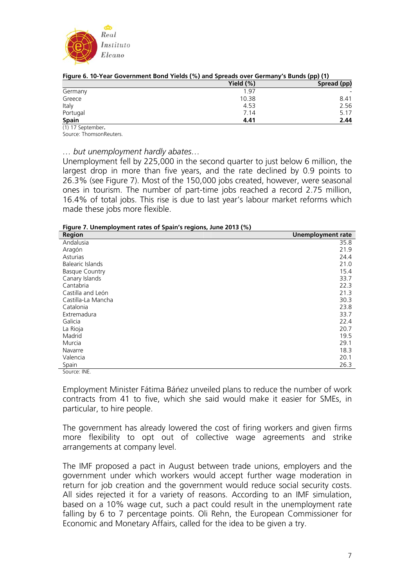

|                    | Yield $(\%)$ | Spread (pp) |  |  |  |
|--------------------|--------------|-------------|--|--|--|
| Germany            | 1.97         |             |  |  |  |
| Greece             | 10.38        | 8.41        |  |  |  |
| Italy              | 4.53         | 2.56        |  |  |  |
| Portugal           | 7.14         | 5.17        |  |  |  |
| <b>Spain</b>       | 4.41         | 2.44        |  |  |  |
| $(1)$ 17 Contambor |              |             |  |  |  |

(1) 17 September**.**  Source: ThomsonReuters.

*… but unemployment hardly abates…* 

Unemployment fell by 225,000 in the second quarter to just below 6 million, the largest drop in more than five years, and the rate declined by 0.9 points to 26.3% (see Figure 7). Most of the 150,000 jobs created, however, were seasonal ones in tourism. The number of part-time jobs reached a record 2.75 million, 16.4% of total jobs. This rise is due to last year's labour market reforms which made these jobs more flexible.

|  | Figure 7. Unemployment rates of Spain's regions, June 2013 (%) |  |  |  |
|--|----------------------------------------------------------------|--|--|--|
|  |                                                                |  |  |  |

| Region                | <b>Unemployment rate</b> |
|-----------------------|--------------------------|
| Andalusia             | 35.8                     |
| Aragón                | 21.9                     |
| Asturias              | 24.4                     |
| Balearic Islands      | 21.0                     |
| <b>Basque Country</b> | 15.4                     |
| Canary Islands        | 33.7                     |
| Cantabria             | 22.3                     |
| Castilla and León     | 21.3                     |
| Castilla-La Mancha    | 30.3                     |
| Catalonia             | 23.8                     |
| Extremadura           | 33.7                     |
| Galicia               | 22.4                     |
| La Rioja              | 20.7                     |
| Madrid                | 19.5                     |
| Murcia                | 29.1                     |
| Navarre               | 18.3                     |
| Valencia              | 20.1                     |
| Spain                 | 26.3                     |

Source: INE.

Employment Minister Fátima Báńez unveiled plans to reduce the number of work contracts from 41 to five, which she said would make it easier for SMEs, in particular, to hire people.

The government has already lowered the cost of firing workers and given firms more flexibility to opt out of collective wage agreements and strike arrangements at company level.

The IMF proposed a pact in August between trade unions, employers and the government under which workers would accept further wage moderation in return for job creation and the government would reduce social security costs. All sides rejected it for a variety of reasons. According to an IMF simulation, based on a 10% wage cut, such a pact could result in the unemployment rate falling by 6 to 7 percentage points. Oli Rehn, the European Commissioner for Economic and Monetary Affairs, called for the idea to be given a try.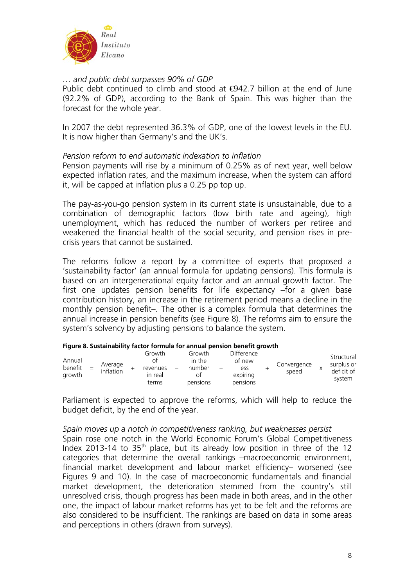

## *… and public debt surpasses 90% of GDP*

Public debt continued to climb and stood at  $€942.7$  billion at the end of June (92.2% of GDP), according to the Bank of Spain. This was higher than the forecast for the whole year.

In 2007 the debt represented 36.3% of GDP, one of the lowest levels in the EU. It is now higher than Germany's and the UK's.

## *Pension reform to end automatic indexation to inflation*

Pension payments will rise by a minimum of 0.25% as of next year, well below expected inflation rates, and the maximum increase, when the system can afford it, will be capped at inflation plus a 0.25 pp top up.

The pay-as-you-go pension system in its current state is unsustainable, due to a combination of demographic factors (low birth rate and ageing), high unemployment, which has reduced the number of workers per retiree and weakened the financial health of the social security, and pension rises in precrisis years that cannot be sustained.

The reforms follow a report by a committee of experts that proposed a 'sustainability factor' (an annual formula for updating pensions). This formula is based on an intergenerational equity factor and an annual growth factor. The first one updates pension benefits for life expectancy –for a given base contribution history, an increase in the retirement period means a decline in the monthly pension benefit–. The other is a complex formula that determines the annual increase in pension benefits (see Figure 8). The reforms aim to ensure the system's solvency by adjusting pensions to balance the system.

| Annual<br>benefit<br>arowth | $=$ | Average<br>inflation |  | Growth<br>$O+$<br>revenues<br>in real<br>terms |  | Growth<br>in the<br>number<br>O1<br>pensions |  | Difference<br>of new<br>less<br>expiring<br>pensions |  | Convergence<br>speed |  | Structural<br>surplus or<br>deficit of<br>system |
|-----------------------------|-----|----------------------|--|------------------------------------------------|--|----------------------------------------------|--|------------------------------------------------------|--|----------------------|--|--------------------------------------------------|
|-----------------------------|-----|----------------------|--|------------------------------------------------|--|----------------------------------------------|--|------------------------------------------------------|--|----------------------|--|--------------------------------------------------|

### **Figure 8. Sustainability factor formula for annual pension benefit growth**

Parliament is expected to approve the reforms, which will help to reduce the budget deficit, by the end of the year.

## *Spain moves up a notch in competitiveness ranking, but weaknesses persist*  Spain rose one notch in the World Economic Forum's Global Competitiveness Index 2013-14 to  $35<sup>th</sup>$  place, but its already low position in three of the 12 categories that determine the overall rankings –macroeconomic environment, financial market development and labour market efficiency– worsened (see Figures 9 and 10). In the case of macroeconomic fundamentals and financial market development, the deterioration stemmed from the country's still unresolved crisis, though progress has been made in both areas, and in the other one, the impact of labour market reforms has yet to be felt and the reforms are also considered to be insufficient. The rankings are based on data in some areas and perceptions in others (drawn from surveys).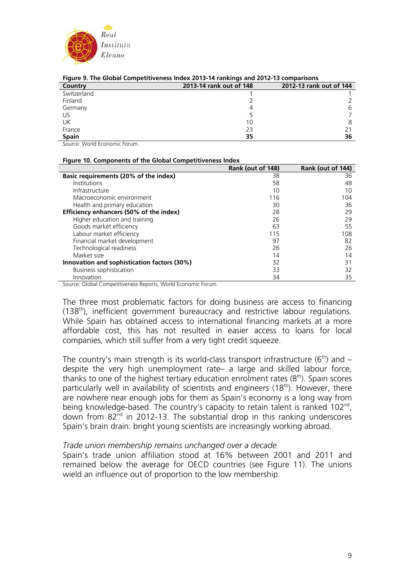

| <b>TRIMING 2012-12 COMPATION COMPOUNDED</b> INDEX 2013-1 <del>1</del> RIMING 2012-13 COMPAINSONS |                         |                         |  |  |  |  |  |
|--------------------------------------------------------------------------------------------------|-------------------------|-------------------------|--|--|--|--|--|
| Country                                                                                          | 2013-14 rank out of 148 | 2012-13 rank out of 144 |  |  |  |  |  |
| Switzerland                                                                                      |                         |                         |  |  |  |  |  |
| Finland                                                                                          |                         |                         |  |  |  |  |  |
| Germany                                                                                          |                         |                         |  |  |  |  |  |
| US                                                                                               |                         |                         |  |  |  |  |  |
| UK                                                                                               | 10                      |                         |  |  |  |  |  |
| France                                                                                           | 23                      |                         |  |  |  |  |  |
| <b>Spain</b>                                                                                     | 35                      | 36                      |  |  |  |  |  |

#### **Figure 9. The Global Competitiveness Index 2013-14 rankings and 2012-13 comparisons**

Source: World Economic Forum.

#### **Figure 10. Components of the Global Competitiveness Index**

|                                             | Rank (out of 148) | Rank (out of 144) |
|---------------------------------------------|-------------------|-------------------|
| Basic requirements (20% of the index)       | 38                | 36                |
| <b>Institutions</b>                         | 58                | 48                |
| Infrastructure                              | 10                | 10                |
| Macroeconomic environment                   | 116               | 104               |
| Health and primary education                | 30                | 36                |
| Efficiency enhancers (50% of the index)     | 28                | 29                |
| Higher education and training               | 26                | 29                |
| Goods market efficiency                     | 63                | 55                |
| Labour market efficiency                    | 115               | 108               |
| Financial market development                | 97                | 82                |
| Technological readiness                     | 26                | 26                |
| Market size                                 | 14                | 14                |
| Innovation and sophistication factors (30%) | 32                | 31                |
| <b>Business sophistication</b>              | 33                | 32                |
| Innovation                                  | 34                | 35                |

Source: Global Competitiveness Reports, World Economic Forum.

The three most problematic factors for doing business are access to financing (138<sup>th</sup>), inefficient government bureaucracy and restrictive labour regulations. While Spain has obtained access to international financing markets at a more affordable cost, this has not resulted in easier access to loans for local companies, which still suffer from a very tight credit squeeze.

The country's main strength is its world-class transport infrastructure ( $6<sup>th</sup>$ ) and  $$ despite the very high unemployment rate– a large and skilled labour force, thanks to one of the highest tertiary education enrolment rates  $(8<sup>th</sup>)$ . Spain scores particularly well in availability of scientists and engineers (18<sup>th</sup>). However, there are nowhere near enough jobs for them as Spain's economy is a long way from being knowledge-based. The country's capacity to retain talent is ranked 102<sup>nd</sup>, down from 82<sup>nd</sup> in 2012-13. The substantial drop in this ranking underscores Spain's brain drain: bright young scientists are increasingly working abroad.

## *Trade union membership remains unchanged over a decade*

Spain's trade union affiliation stood at 16% between 2001 and 2011 and remained below the average for OECD countries (see Figure 11). The unions wield an influence out of proportion to the low membership.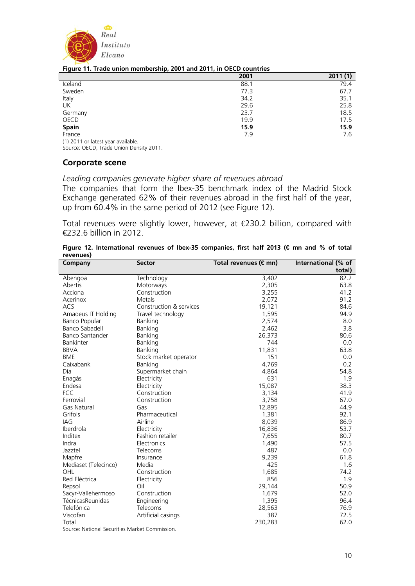

#### **Figure 11. Trade union membership, 2001 and 2011, in OECD countries**

|         | 2001 | 2011(1) |
|---------|------|---------|
| Iceland | 88.1 | 79.4    |
| Sweden  | 77.3 | 67.7    |
| Italy   | 34.2 | 35.1    |
| UK      | 29.6 | 25.8    |
| Germany | 23.7 | 18.5    |
| OECD    | 19.9 | 17.5    |
| Spain   | 15.9 | 15.9    |
| France  | 7.9  | 7.6     |

(1) 2011 or latest year available.

Source: OECD, Trade Union Density 2011.

### **Corporate scene**

### *Leading companies generate higher share of revenues abroad*

The companies that form the Ibex-35 benchmark index of the Madrid Stock Exchange generated 62% of their revenues abroad in the first half of the year, up from 60.4% in the same period of 2012 (see Figure 12).

Total revenues were slightly lower, however, at €230.2 billion, compared with €232.6 billion in 2012.

| Company                | <b>Sector</b>           | Total revenues (€mn) | International (% of |
|------------------------|-------------------------|----------------------|---------------------|
|                        |                         |                      | total)              |
| Abengoa                | Technology              | 3,402                | 82.2                |
| Abertis                | Motorways               | 2,305                | 63.8                |
| Acciona                | Construction            | 3,255                | 41.2                |
| Acerinox               | Metals                  | 2,072                | 91.2                |
| ACS                    | Construction & services | 19,121               | 84.6                |
| Amadeus IT Holding     | Travel technology       | 1,595                | 94.9                |
| Banco Popular          | Banking                 | 2,574                | 8.0                 |
| <b>Banco Sabadell</b>  | Banking                 | 2,462                | 3.8                 |
| <b>Banco Santander</b> | Banking                 | 26,373               | 80.6                |
| <b>Bankinter</b>       | Banking                 | 744                  | 0.0                 |
| <b>BBVA</b>            | Banking                 | 11,831               | 63.8                |
| <b>BME</b>             | Stock market operator   | 151                  | 0.0                 |
| Caixabank              | Banking                 | 4,769                | 0.2                 |
| Día                    | Supermarket chain       | 4,864                | 54.8                |
| Enagás                 | Electricity             | 631                  | 1.9                 |
| Endesa                 | Electricity             | 15,087               | 38.3                |
| <b>FCC</b>             | Construction            | 3,134                | 41.9                |
| Ferrovial              | Construction            | 3,758                | 67.0                |
| <b>Gas Natural</b>     | Gas                     | 12,895               | 44.9                |
| Grifols                | Pharmaceutical          | 1,381                | 92.1                |
| IAG                    | Airline                 | 8,039                | 86.9                |
| Iberdrola              | Electricity             | 16,836               | 53.7                |
| Inditex                | Fashion retailer        | 7,655                | 80.7                |
| Indra                  | Electronics             | 1,490                | 57.5                |
| Jazztel                | Telecoms                | 487                  | 0.0                 |
| Mapfre                 | Insurance               | 9,239                | 61.8                |
| Mediaset (Telecinco)   | Media                   | 425                  | 1.6                 |
| OHL                    | Construction            | 1,685                | 74.2                |
| Red Eléctrica          | Electricity             | 856                  | 1.9                 |
| Repsol                 | Oil                     | 29,144               | 50.9                |
| Sacyr-Vallehermoso     | Construction            | 1,679                | 52.0                |
| TécnicasReunidas       | Engineering             | 1,395                | 96.4                |
| Telefónica             | Telecoms                | 28,563               | 76.9                |
| Viscofan               | Artificial casings      | 387                  | 72.5                |
| Total                  |                         | 230,283              | 62.0                |

**Figure 12. International revenues of Ibex-35 companies, first half 2013 (€ mn and % of total revenues)**

Source: National Securities Market Commission.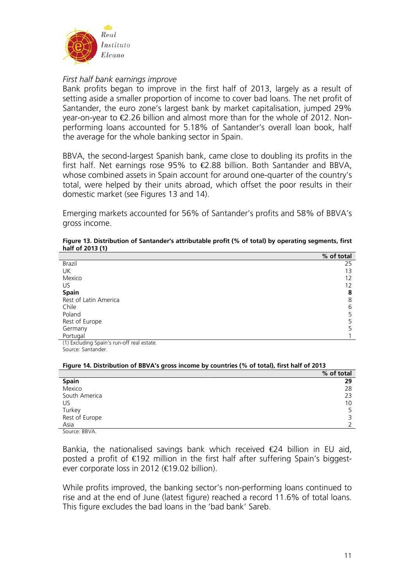

## *First half bank earnings improve*

Bank profits began to improve in the first half of 2013, largely as a result of setting aside a smaller proportion of income to cover bad loans. The net profit of Santander, the euro zone's largest bank by market capitalisation, jumped 29% year-on-year to €2.26 billion and almost more than for the whole of 2012. Nonperforming loans accounted for 5.18% of Santander's overall loan book, half the average for the whole banking sector in Spain.

BBVA, the second-largest Spanish bank, came close to doubling its profits in the first half. Net earnings rose 95% to  $E$  88 billion. Both Santander and BBVA, whose combined assets in Spain account for around one-quarter of the country's total, were helped by their units abroad, which offset the poor results in their domestic market (see Figures 13 and 14).

Emerging markets accounted for 56% of Santander's profits and 58% of BBVA's gross income.

| $\cdot$ $\cdot$                               |            |
|-----------------------------------------------|------------|
|                                               | % of total |
| Brazil                                        | 25         |
| <b>UK</b>                                     | 13         |
| Mexico                                        | 12         |
| US                                            | 12         |
| <b>Spain</b>                                  | 8          |
| Rest of Latin America                         | 8          |
| Chile                                         | 6          |
| Poland                                        | 5          |
| Rest of Europe                                | 5          |
| Germany                                       | 5          |
| Portugal                                      |            |
| 74) Fuch die eine deutsche Affendet erstellt. |            |

#### **Figure 13. Distribution of Santander's attributable profit (% of total) by operating segments, first half of 2013 (1)**

(1) Excluding Spain's run-off real estate. Source: Santander.

# **Figure 14. Distribution of BBVA's gross income by countries (% of total), first half of 2013**

|                | % of total |
|----------------|------------|
| <b>Spain</b>   | 29         |
| Mexico         | 28         |
| South America  | 23         |
| US             | 10         |
| Turkey         | 5          |
| Rest of Europe |            |
| Asia           |            |
| Source: BBVA.  |            |

Bankia, the nationalised savings bank which received  $E$ 4 billion in EU aid, posted a profit of €192 million in the first half after suffering Spain's biggestever corporate loss in 2012 (€19.02 billion).

While profits improved, the banking sector's non-performing loans continued to rise and at the end of June (latest figure) reached a record 11.6% of total loans. This figure excludes the bad loans in the 'bad bank' Sareb.